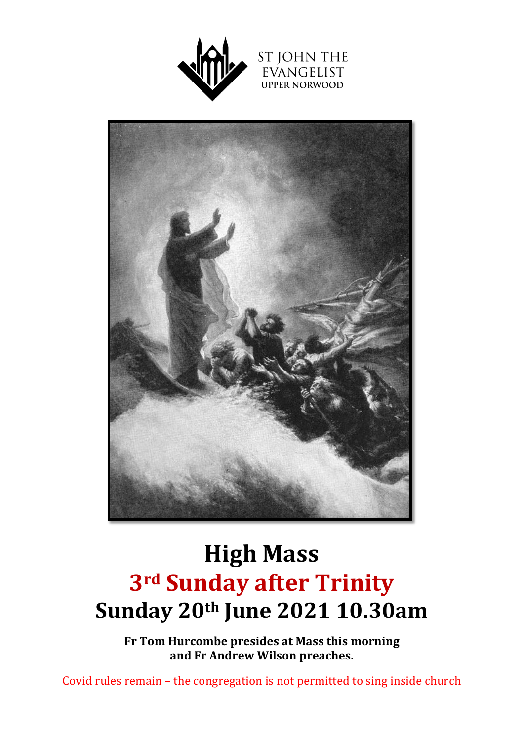





# **High Mass 3rd Sunday after Trinity Sunday 20th June 2021 10.30am**

**Fr Tom Hurcombe presides at Mass this morning and Fr Andrew Wilson preaches.** 

Covid rules remain – the congregation is not permitted to sing inside church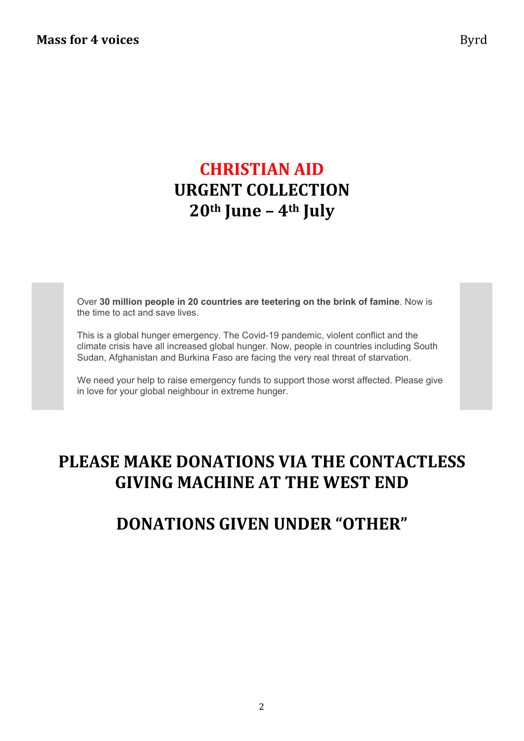# **CHRISTIAN AID URGENT COLLECTION 20th June – 4th July**

Over **30 million people in 20 countries are teetering on the brink of famine**. Now is the time to act and save lives.

This is a global hunger emergency. The Covid-19 pandemic, violent conflict and the climate crisis have all increased global hunger. Now, people in countries including South Sudan, Afghanistan and Burkina Faso are facing the very real threat of starvation.

We need your help to raise emergency funds to support those worst affected. Please give in love for your global neighbour in extreme hunger.

# **PLEASE MAKE DONATIONS VIA THE CONTACTLESS GIVING MACHINE AT THE WEST END**

## **DONATIONS GIVEN UNDER "OTHER"**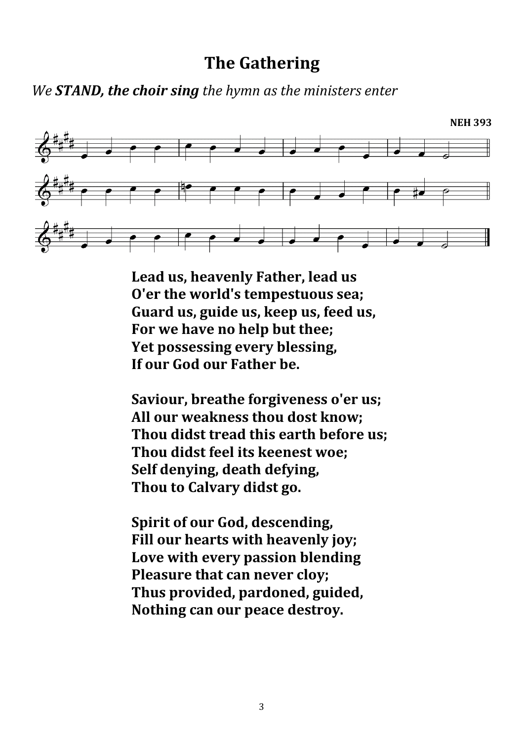## **The Gathering**

*We STAND, the choir sing the hymn as the ministers enter*



**Lead us, heavenly Father, lead us O'er the world's tempestuous sea; Guard us, guide us, keep us, feed us, For we have no help but thee; Yet possessing every blessing, If our God our Father be.**

**Saviour, breathe forgiveness o'er us; All our weakness thou dost know; Thou didst tread this earth before us; Thou didst feel its keenest woe; Self denying, death defying, Thou to Calvary didst go.**

**Spirit of our God, descending, Fill our hearts with heavenly joy; Love with every passion blending Pleasure that can never cloy; Thus provided, pardoned, guided, Nothing can our peace destroy.**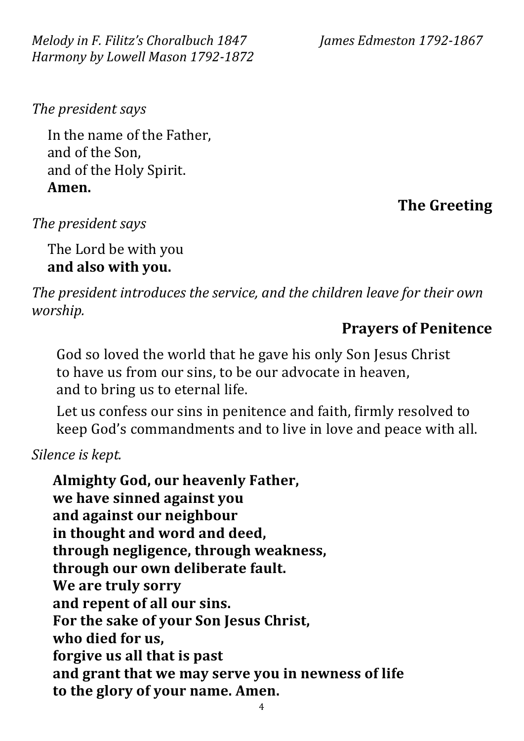*Melody in F. Filitz's Choralbuch 1847 James Edmeston 1792-1867 Harmony by Lowell Mason 1792-1872*

*The president says*

In the name of the Father, and of the Son, and of the Holy Spirit. **Amen.**

## **The Greeting**

*The president says*

The Lord be with you **and also with you.**

*The president introduces the service, and the children leave for their own worship.*

#### **Prayers of Penitence**

God so loved the world that he gave his only Son Jesus Christ to have us from our sins, to be our advocate in heaven, and to bring us to eternal life.

Let us confess our sins in penitence and faith, firmly resolved to keep God's commandments and to live in love and peace with all.

*Silence is kept.*

**Almighty God, our heavenly Father, we have sinned against you and against our neighbour in thought and word and deed, through negligence, through weakness, through our own deliberate fault. We are truly sorry and repent of all our sins. For the sake of your Son Jesus Christ, who died for us, forgive us all that is past and grant that we may serve you in newness of life to the glory of your name. Amen.**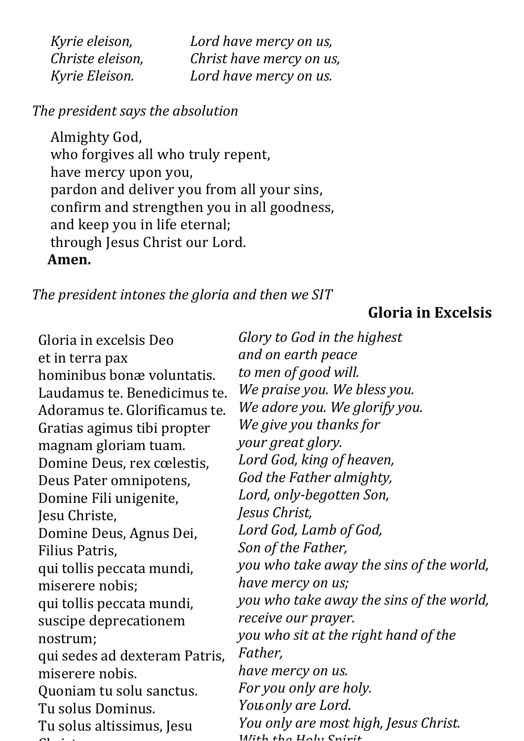| Kyrie eleison,   | Lord have mercy on us,   |
|------------------|--------------------------|
| Christe eleison, | Christ have mercy on us, |
| Kyrie Eleison.   | Lord have mercy on us.   |

#### *The president says the absolution*

Almighty God, who forgives all who truly repent, have mercy upon you, pardon and deliver you from all your sins, confirm and strengthen you in all goodness, and keep you in life eternal; through Jesus Christ our Lord. **Amen.**

#### *The president intones the gloria and then we SIT*

#### **Gloria in Excelsis**

Gloria in excelsis Deo et in terra pax hominibus bonæ voluntatis. Laudamus te. Benedicimus te. Adoramus te. Glorificamus te. Gratias agimus tibi propter magnam gloriam tuam. Domine Deus, rex cœlestis, Deus Pater omnipotens, Domine Fili unigenite, Jesu Christe, Domine Deus, Agnus Dei, Filius Patris, qui tollis peccata mundi, miserere nobis; qui tollis peccata mundi, suscipe deprecationem nostrum; qui sedes ad dexteram Patris, miserere nobis. Quoniam tu solu sanctus. Tu solus Dominus. Tu solus altissimus, Jesu  $\cdots$   $\cdots$ 

You only are Lord. *Glory to God in the highest and on earth peace to men of good will. We praise you. We bless you. We adore you. We glorify you. We give you thanks for your great glory. Lord God, king of heaven, God the Father almighty, Lord, only-begotten Son, Jesus Christ, Lord God, Lamb of God, Son of the Father, you who take away the sins of the world, have mercy on us; you who take away the sins of the world, receive our prayer. you who sit at the right hand of the Father, have mercy on us. For you only are holy. You only are most high, Jesus Christ. With the Holy Spirit*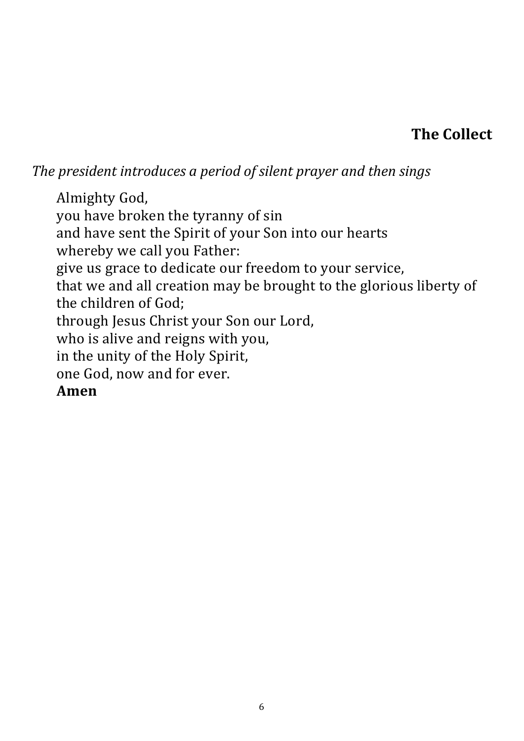# **The Collect**

*The president introduces a period of silent prayer and then sings*

Almighty God, you have broken the tyranny of sin and have sent the Spirit of your Son into our hearts whereby we call you Father: give us grace to dedicate our freedom to your service, that we and all creation may be brought to the glorious liberty of the children of God; through Jesus Christ your Son our Lord, who is alive and reigns with you, in the unity of the Holy Spirit, one God, now and for ever. **Amen**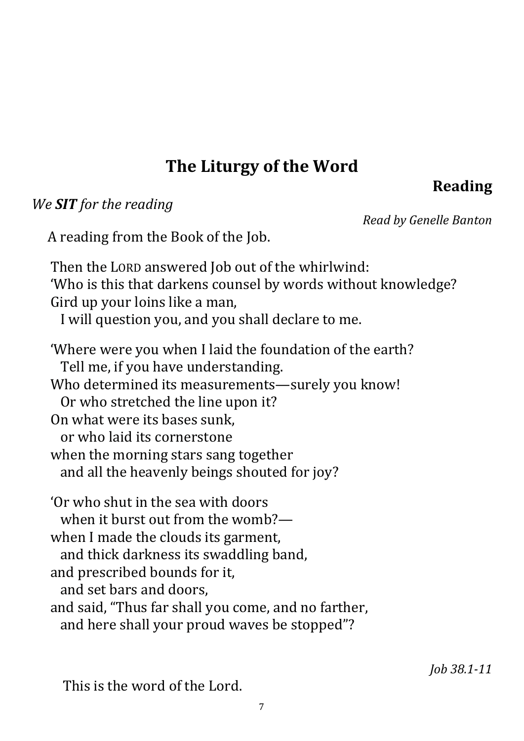# **The Liturgy of the Word**

# **Reading**

#### *We SIT for the reading*

*Read by Genelle Banton*

A reading from the Book of the Job.

Then the LORD answered Job out of the whirlwind: 'Who is this that darkens counsel by words without knowledge? Gird up your loins like a man, I will question you, and you shall declare to me. 'Where were you when I laid the foundation of the earth? Tell me, if you have understanding. Who determined its measurements—surely you know! Or who stretched the line upon it?

On what were its bases sunk,

or who laid its cornerstone

when the morning stars sang together

and all the heavenly beings shouted for joy?

'Or who shut in the sea with doors when it burst out from the womb?when I made the clouds its garment, and thick darkness its swaddling band, and prescribed bounds for it, and set bars and doors, and said, "Thus far shall you come, and no farther, and here shall your proud waves be stopped"?

This is the word of the Lord.

*Job 38.1-11*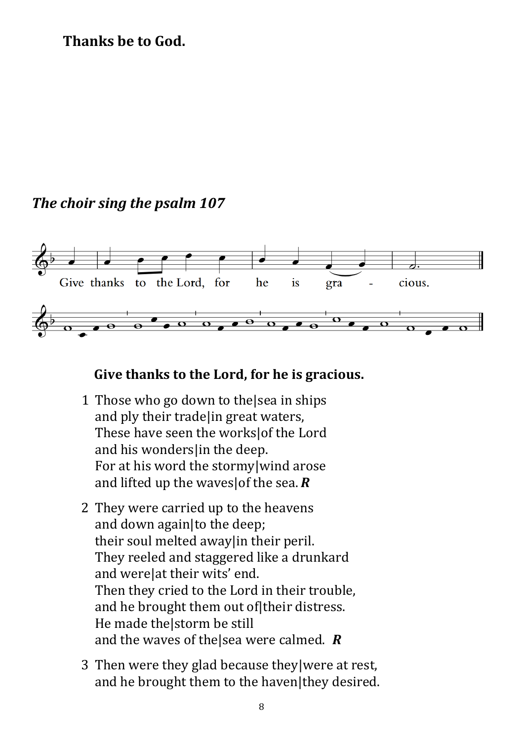#### **Thanks be to God.**

### *The choir sing the psalm 107*



#### **Give thanks to the Lord, for he is gracious.**

- 1 Those who go down to the|sea in ships and ply their trade|in great waters, These have seen the works|of the Lord and his wonders in the deep. For at his word the stormy|wind arose and lifted up the waves|of the sea. *R*
- 2 They were carried up to the heavens and down again|to the deep; their soul melted away|in their peril. They reeled and staggered like a drunkard and were|at their wits' end. Then they cried to the Lord in their trouble, and he brought them out of|their distress. He made the|storm be still and the waves of the|sea were calmed. *R*
- 3 Then were they glad because they|were at rest, and he brought them to the haven|they desired.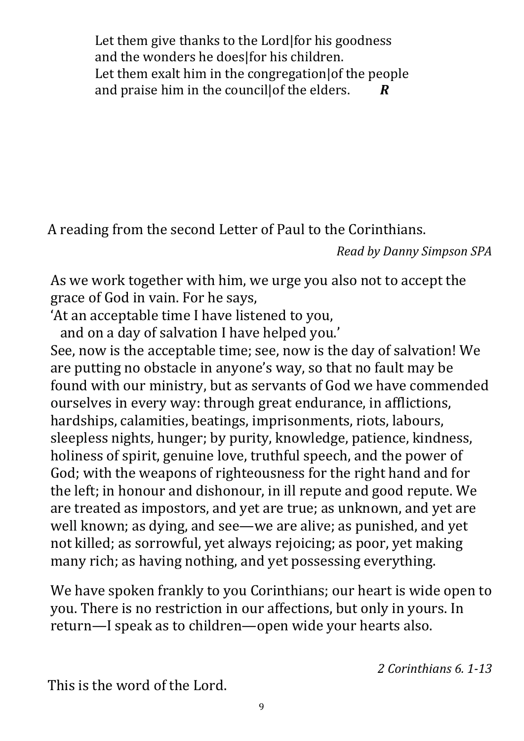Let them give thanks to the Lord|for his goodness and the wonders he doeslfor his children. Let them exalt him in the congregation of the people and praise him in the council|of the elders. *R*

A reading from the second Letter of Paul to the Corinthians.

*Read by Danny Simpson SPA*

As we work together with him, we urge you also not to accept the grace of God in vain. For he says,

'At an acceptable time I have listened to you,

and on a day of salvation I have helped you.'

See, now is the acceptable time; see, now is the day of salvation! We are putting no obstacle in anyone's way, so that no fault may be found with our ministry, but as servants of God we have commended ourselves in every way: through great endurance, in afflictions, hardships, calamities, beatings, imprisonments, riots, labours, sleepless nights, hunger; by purity, knowledge, patience, kindness, holiness of spirit, genuine love, truthful speech, and the power of God; with the weapons of righteousness for the right hand and for the left; in honour and dishonour, in ill repute and good repute. We are treated as impostors, and yet are true; as unknown, and yet are well known; as dying, and see—we are alive; as punished, and yet not killed; as sorrowful, yet always rejoicing; as poor, yet making many rich; as having nothing, and yet possessing everything.

We have spoken frankly to you Corinthians; our heart is wide open to you. There is no restriction in our affections, but only in yours. In return—I speak as to children—open wide your hearts also.

*2 Corinthians 6. 1-13*

This is the word of the Lord.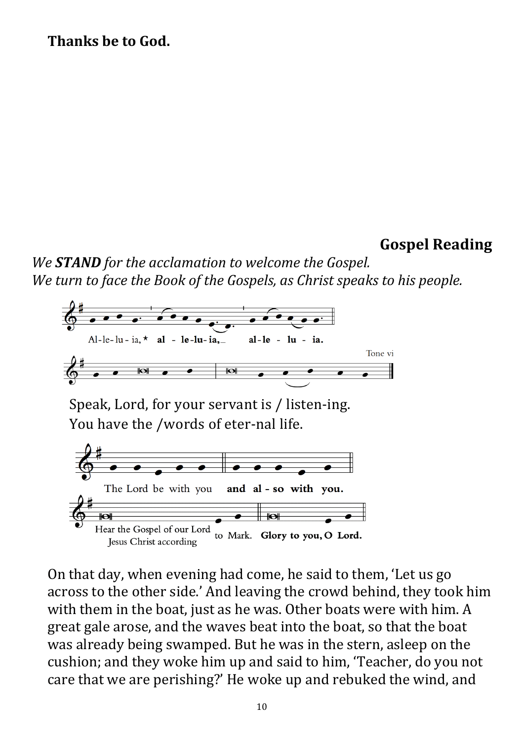#### **Thanks be to God.**

## **Gospel Reading**

*We STAND for the acclamation to welcome the Gospel. We turn to face the Book of the Gospels, as Christ speaks to his people.*



On that day, when evening had come, he said to them, 'Let us go across to the other side.' And leaving the crowd behind, they took him with them in the boat, just as he was. Other boats were with him. A great gale arose, and the waves beat into the boat, so that the boat was already being swamped. But he was in the stern, asleep on the cushion; and they woke him up and said to him, 'Teacher, do you not care that we are perishing?' He woke up and rebuked the wind, and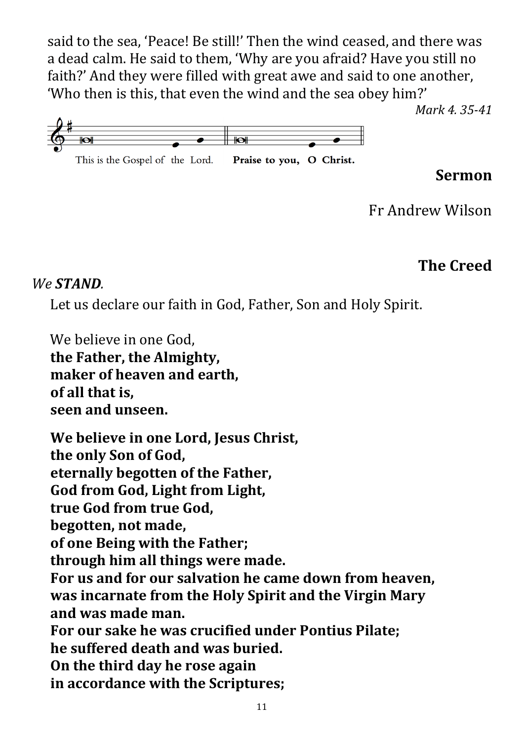said to the sea, 'Peace! Be still!' Then the wind ceased, and there was a dead calm. He said to them, 'Why are you afraid? Have you still no faith?' And they were filled with great awe and said to one another, 'Who then is this, that even the wind and the sea obey him?'



#### **Sermon**

*Mark 4. 35-41*

Fr Andrew Wilson

## **The Creed**

*We STAND.*

Let us declare our faith in God, Father, Son and Holy Spirit.

We believe in one God, **the Father, the Almighty, maker of heaven and earth, of all that is, seen and unseen.**

**We believe in one Lord, Jesus Christ, the only Son of God, eternally begotten of the Father, God from God, Light from Light, true God from true God, begotten, not made, of one Being with the Father; through him all things were made. For us and for our salvation he came down from heaven, was incarnate from the Holy Spirit and the Virgin Mary and was made man. For our sake he was crucified under Pontius Pilate; he suffered death and was buried. On the third day he rose again in accordance with the Scriptures;**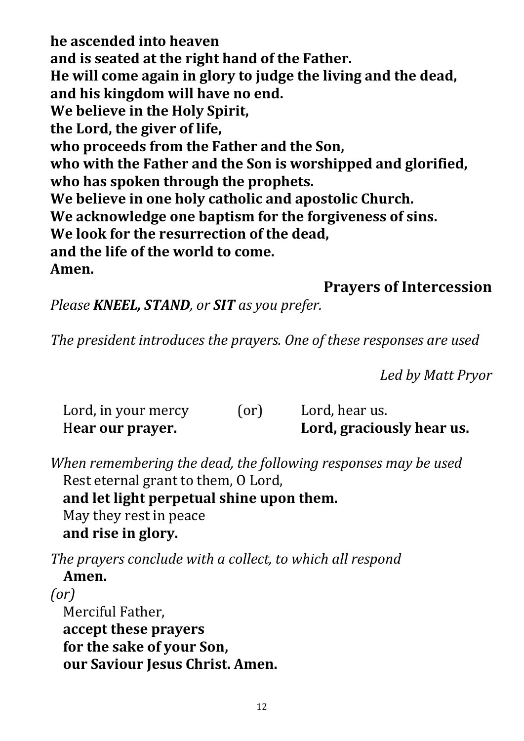**he ascended into heaven and is seated at the right hand of the Father. He will come again in glory to judge the living and the dead, and his kingdom will have no end. We believe in the Holy Spirit, the Lord, the giver of life, who proceeds from the Father and the Son, who with the Father and the Son is worshipped and glorified, who has spoken through the prophets. We believe in one holy catholic and apostolic Church. We acknowledge one baptism for the forgiveness of sins. We look for the resurrection of the dead, and the life of the world to come. Amen.**

### **Prayers of Intercession**

*Please KNEEL, STAND, or SIT as you prefer.*

*The president introduces the prayers. One of these responses are used*

*Led by Matt Pryor*

| Lord, in your mercy | (or) | Lord, hear us.            |
|---------------------|------|---------------------------|
| Hear our prayer.    |      | Lord, graciously hear us. |

*When remembering the dead, the following responses may be used* Rest eternal grant to them, O Lord, **and let light perpetual shine upon them.** May they rest in peace **and rise in glory.**

*The prayers conclude with a collect, to which all respond* **Amen.**

*(or)* Merciful Father, **accept these prayers for the sake of your Son, our Saviour Jesus Christ. Amen.**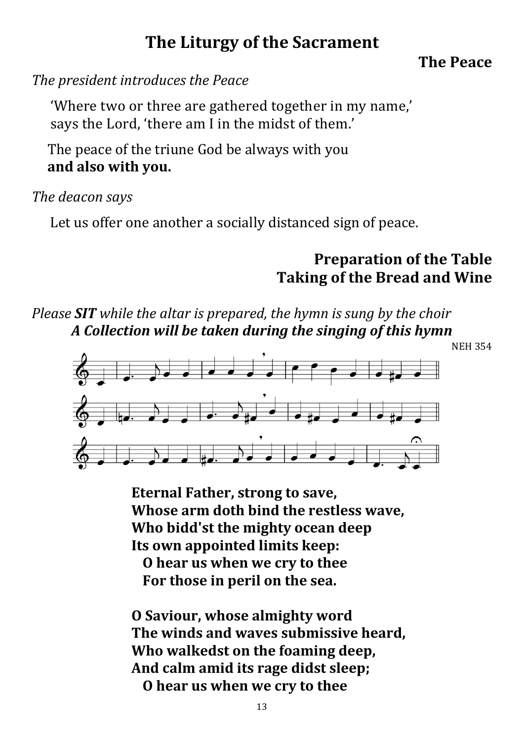# **The Liturgy of the Sacrament**

#### **The Peace**

*The president introduces the Peace*

'Where two or three are gathered together in my name,' says the Lord, 'there am I in the midst of them.'

The peace of the triune God be always with you **and also with you.**

#### *The deacon says*

Let us offer one another a socially distanced sign of peace.

## **Preparation of the Table Taking of the Bread and Wine**

*Please SIT while the altar is prepared, the hymn is sung by the choir A Collection will be taken during the singing of this hymn*



**Eternal Father, strong to save, Whose arm doth bind the restless wave, Who bidd'st the mighty ocean deep Its own appointed limits keep: O hear us when we cry to thee For those in peril on the sea.** 

**O Saviour, whose almighty word The winds and waves submissive heard, Who walkedst on the foaming deep, And calm amid its rage didst sleep; O hear us when we cry to thee**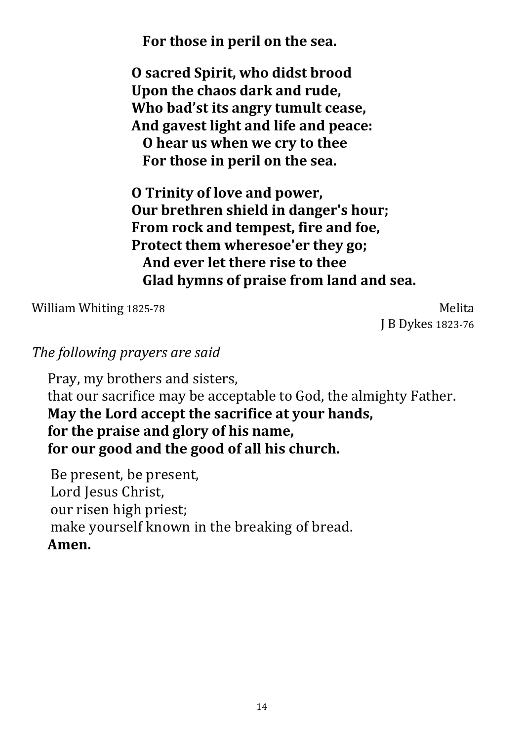**For those in peril on the sea.** 

**O sacred Spirit, who didst brood Upon the chaos dark and rude, Who bad'st its angry tumult cease, And gavest light and life and peace: O hear us when we cry to thee For those in peril on the sea.** 

**O Trinity of love and power, Our brethren shield in danger's hour; From rock and tempest, fire and foe, Protect them wheresoe'er they go; And ever let there rise to thee Glad hymns of praise from land and sea.** 

William Whiting 1825-78 Melita

J B Dykes 1823-76

#### *The following prayers are said*

Pray, my brothers and sisters, that our sacrifice may be acceptable to God, the almighty Father. **May the Lord accept the sacrifice at your hands, for the praise and glory of his name, for our good and the good of all his church.**

Be present, be present, Lord Jesus Christ, our risen high priest; make yourself known in the breaking of bread. **Amen.**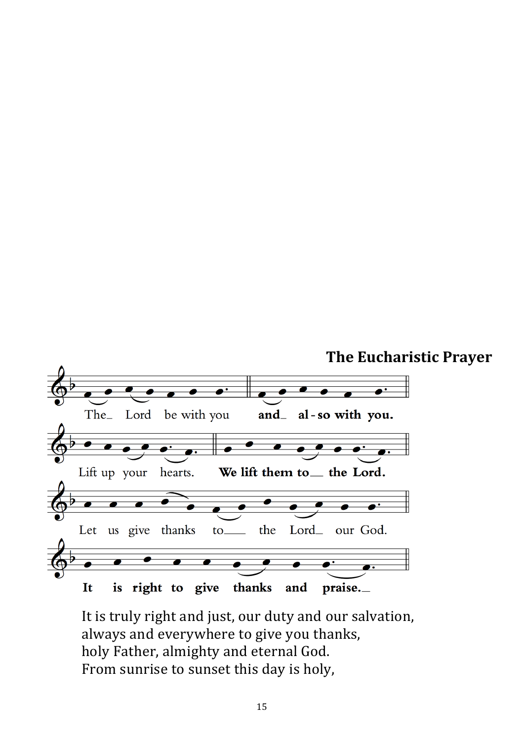

It is truly right and just, our duty and our salvation, always and everywhere to give you thanks, holy Father, almighty and eternal God. From sunrise to sunset this day is holy,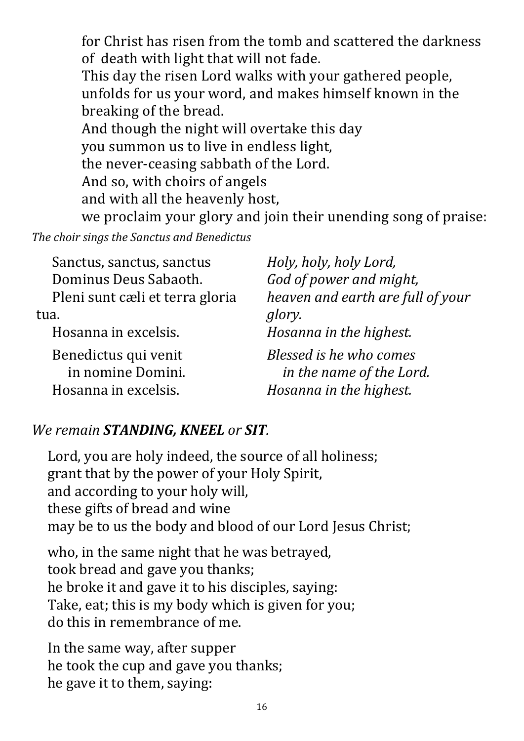for Christ has risen from the tomb and scattered the darkness of death with light that will not fade. This day the risen Lord walks with your gathered people, unfolds for us your word, and makes himself known in the breaking of the bread. And though the night will overtake this day you summon us to live in endless light, the never-ceasing sabbath of the Lord. And so, with choirs of angels and with all the heavenly host, we proclaim your glory and join their unending song of praise:

*The choir sings the Sanctus and Benedictus*

| Sanctus, sanctus, sanctus       | Holy, holy, holy Lord,            |
|---------------------------------|-----------------------------------|
| Dominus Deus Sabaoth.           | God of power and might,           |
| Pleni sunt cæli et terra gloria | heaven and earth are full of your |
| tua.                            | glory.                            |
| Hosanna in excelsis.            | Hosanna in the highest.           |
| Benedictus qui venit            | Blessed is he who comes           |
| in nomine Domini.               | in the name of the Lord.          |
| Hosanna in excelsis.            | Hosanna in the highest.           |

## *We remain STANDING, KNEEL or SIT.*

Lord, you are holy indeed, the source of all holiness; grant that by the power of your Holy Spirit, and according to your holy will, these gifts of bread and wine may be to us the body and blood of our Lord Jesus Christ;

who, in the same night that he was betrayed, took bread and gave you thanks; he broke it and gave it to his disciples, saying: Take, eat; this is my body which is given for you; do this in remembrance of me.

In the same way, after supper he took the cup and gave you thanks; he gave it to them, saying: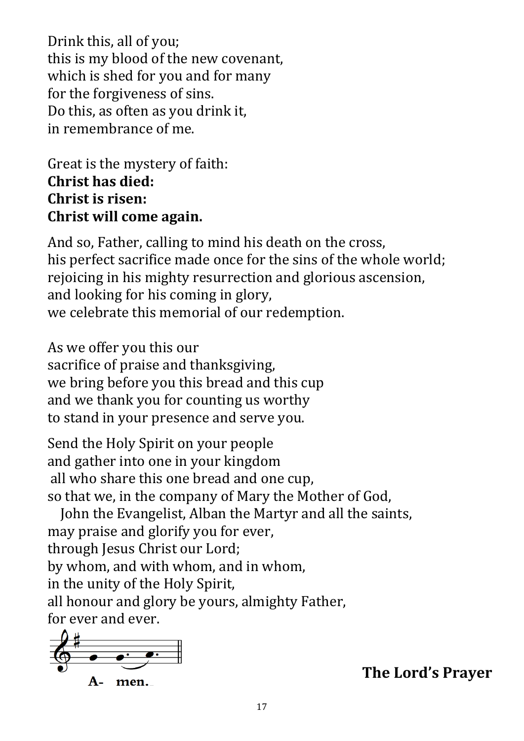Drink this, all of you; this is my blood of the new covenant, which is shed for you and for many for the forgiveness of sins. Do this, as often as you drink it, in remembrance of me.

Great is the mystery of faith: **Christ has died: Christ is risen: Christ will come again.**

And so, Father, calling to mind his death on the cross, his perfect sacrifice made once for the sins of the whole world; rejoicing in his mighty resurrection and glorious ascension, and looking for his coming in glory, we celebrate this memorial of our redemption.

As we offer you this our sacrifice of praise and thanksgiving, we bring before you this bread and this cup and we thank you for counting us worthy to stand in your presence and serve you.

Send the Holy Spirit on your people and gather into one in your kingdom all who share this one bread and one cup, so that we, in the company of Mary the Mother of God,

John the Evangelist, Alban the Martyr and all the saints, may praise and glorify you for ever, through Jesus Christ our Lord; by whom, and with whom, and in whom, in the unity of the Holy Spirit, all honour and glory be yours, almighty Father, for ever and ever.



**The Lord's Prayer**

17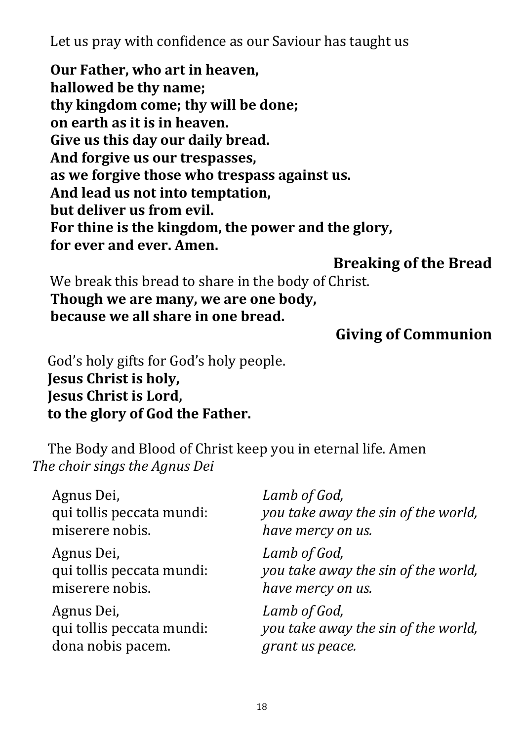Let us pray with confidence as our Saviour has taught us

**Our Father, who art in heaven, hallowed be thy name; thy kingdom come; thy will be done; on earth as it is in heaven. Give us this day our daily bread. And forgive us our trespasses, as we forgive those who trespass against us. And lead us not into temptation, but deliver us from evil. For thine is the kingdom, the power and the glory, for ever and ever. Amen.**

**Breaking of the Bread**

We break this bread to share in the body of Christ. **Though we are many, we are one body, because we all share in one bread.**

## **Giving of Communion**

God's holy gifts for God's holy people. **Jesus Christ is holy, Jesus Christ is Lord, to the glory of God the Father.**

The Body and Blood of Christ keep you in eternal life. Amen *The choir sings the Agnus Dei*

| Agnus Dei,                | Lamb of God,                        |
|---------------------------|-------------------------------------|
| qui tollis peccata mundi: | you take away the sin of the world, |
| miserere nobis.           | have mercy on us.                   |
| Agnus Dei,                | Lamb of God,                        |
| qui tollis peccata mundi: | you take away the sin of the world, |
| miserere nobis.           | have mercy on us.                   |
| Agnus Dei,                | Lamb of God,                        |
| qui tollis peccata mundi: | you take away the sin of the world, |
| dona nobis pacem.         | grant us peace.                     |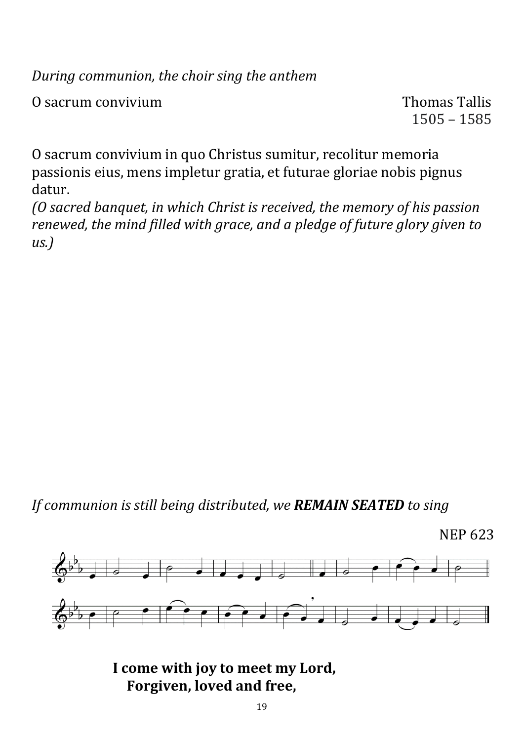*During communion, the choir sing the anthem*

O sacrum convivium  $\overline{O}$  sacrum convivium

1505 – 1585

O sacrum convivium in quo Christus sumitur, recolitur memoria passionis eius, mens impletur gratia, et futurae gloriae nobis pignus datur.

*(O sacred banquet, in which Christ is received, the memory of his passion renewed, the mind filled with grace, and a pledge of future glory given to us.)*

*If communion is still being distributed, we REMAIN SEATED to sing*

NEP 623



**I come with joy to meet my Lord, Forgiven, loved and free,**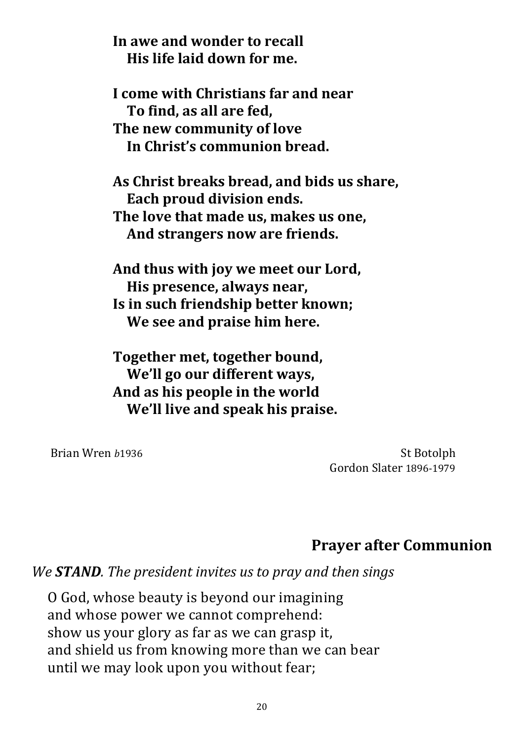**In awe and wonder to recall His life laid down for me.**

**I come with Christians far and near To find, as all are fed, The new community of love In Christ's communion bread.**

**As Christ breaks bread, and bids us share, Each proud division ends. The love that made us, makes us one, And strangers now are friends.**

**And thus with joy we meet our Lord, His presence, always near, Is in such friendship better known; We see and praise him here.**

**Together met, together bound, We'll go our different ways, And as his people in the world We'll live and speak his praise.**

Brian Wren *b*1936 St Botolph Gordon Slater 1896-1979

## **Prayer after Communion**

*We STAND. The president invites us to pray and then sings*

O God, whose beauty is beyond our imagining and whose power we cannot comprehend: show us your glory as far as we can grasp it, and shield us from knowing more than we can bear until we may look upon you without fear;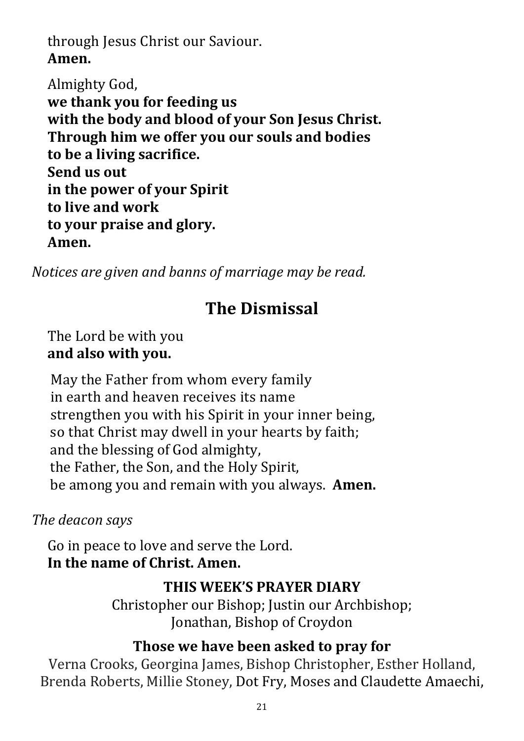## through Jesus Christ our Saviour. **Amen.**

Almighty God, **we thank you for feeding us with the body and blood of your Son Jesus Christ. Through him we offer you our souls and bodies to be a living sacrifice. Send us out in the power of your Spirit to live and work to your praise and glory. Amen.**

*Notices are given and banns of marriage may be read.*

# **The Dismissal**

The Lord be with you **and also with you.**

May the Father from whom every family in earth and heaven receives its name strengthen you with his Spirit in your inner being, so that Christ may dwell in your hearts by faith; and the blessing of God almighty, the Father, the Son, and the Holy Spirit, be among you and remain with you always. **Amen.**

*The deacon says*

Go in peace to love and serve the Lord. **In the name of Christ. Amen.**

#### **THIS WEEK'S PRAYER DIARY**

Christopher our Bishop; Justin our Archbishop; Jonathan, Bishop of Croydon

#### **Those we have been asked to pray for**

Verna Crooks, Georgina James, Bishop Christopher, Esther Holland, Brenda Roberts, Millie Stoney, Dot Fry, Moses and Claudette Amaechi,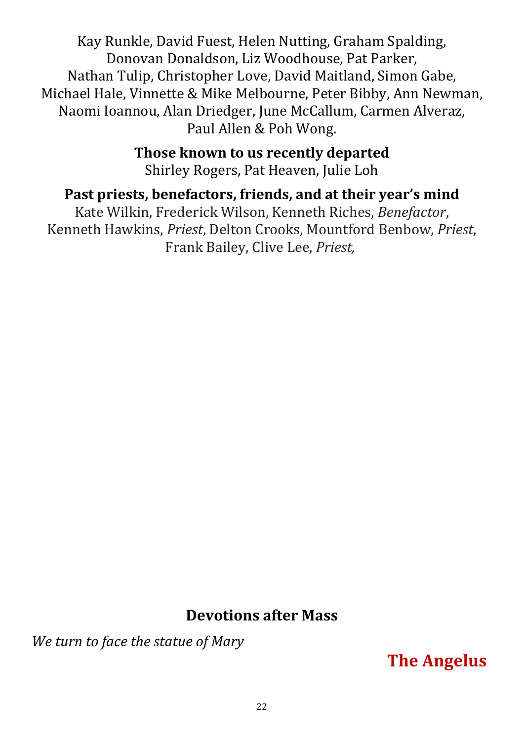Kay Runkle, David Fuest, Helen Nutting, Graham Spalding, Donovan Donaldson, Liz Woodhouse, Pat Parker, Nathan Tulip, Christopher Love, David Maitland, Simon Gabe, Michael Hale, Vinnette & Mike Melbourne, Peter Bibby, Ann Newman, Naomi Ioannou, Alan Driedger, June McCallum, Carmen Alveraz, Paul Allen & Poh Wong.

> **Those known to us recently departed** Shirley Rogers, Pat Heaven, Julie Loh

## **Past priests, benefactors, friends, and at their year's mind**

Kate Wilkin, Frederick Wilson, Kenneth Riches, *Benefactor*, Kenneth Hawkins, *Priest*, Delton Crooks, Mountford Benbow, *Priest*, Frank Bailey, Clive Lee, *Priest,*

## **Devotions after Mass**

*We turn to face the statue of Mary* 

**The Angelus**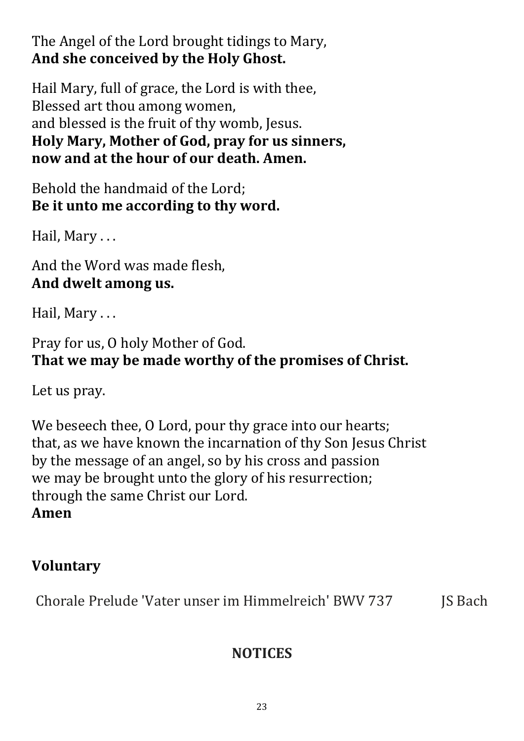The Angel of the Lord brought tidings to Mary, **And she conceived by the Holy Ghost.**

Hail Mary, full of grace, the Lord is with thee, Blessed art thou among women, and blessed is the fruit of thy womb, Jesus. **Holy Mary, Mother of God, pray for us sinners, now and at the hour of our death. Amen.**

Behold the handmaid of the Lord; **Be it unto me according to thy word.**

Hail, Mary . . .

And the Word was made flesh, **And dwelt among us.**

Hail, Mary . . .

Pray for us, O holy Mother of God. **That we may be made worthy of the promises of Christ.**

Let us pray.

We beseech thee, O Lord, pour thy grace into our hearts; that, as we have known the incarnation of thy Son Jesus Christ by the message of an angel, so by his cross and passion we may be brought unto the glory of his resurrection; through the same Christ our Lord. **Amen** 

## **Voluntary**

Chorale Prelude 'Vater unser im Himmelreich' BWV 737 JS Bach

# **NOTICES**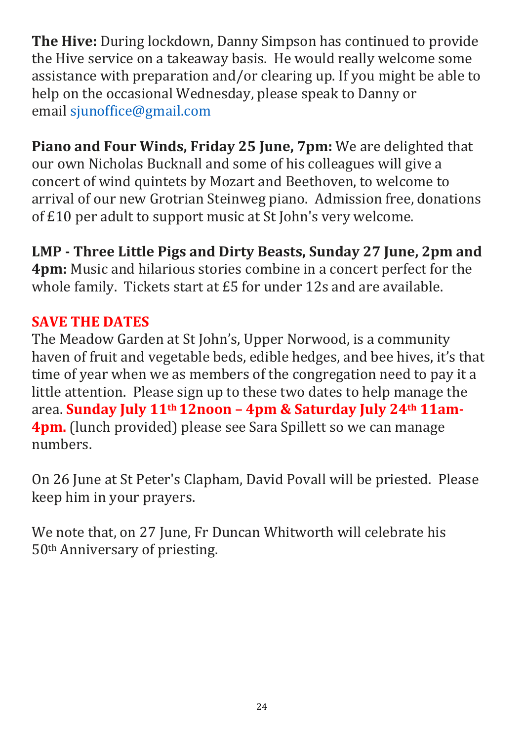**The Hive:** During lockdown, Danny Simpson has continued to provide the Hive service on a takeaway basis. He would really welcome some assistance with preparation and/or clearing up. If you might be able to help on the occasional Wednesday, please speak to Danny or email [sjunoffice@gmail.com](mailto:sjunoffice@gmail.com)

**Piano and Four Winds, Friday 25 June, 7pm:** We are delighted that our own Nicholas Bucknall and some of his colleagues will give a concert of wind quintets by Mozart and Beethoven, to welcome to arrival of our new Grotrian Steinweg piano. Admission free, donations of £10 per adult to support music at St John's very welcome.

**LMP - Three Little Pigs and Dirty Beasts, Sunday 27 June, 2pm and** 

**4pm:** Music and hilarious stories combine in a concert perfect for the whole family. Tickets start at £5 for under 12s and are available.

#### **SAVE THE DATES**

The Meadow Garden at St John's, Upper Norwood, is a community haven of fruit and vegetable beds, edible hedges, and bee hives, it's that time of year when we as members of the congregation need to pay it a little attention. Please sign up to these two dates to help manage the area. **Sunday July 11th 12noon – 4pm & Saturday July 24th 11am-4pm.** (lunch provided) please see Sara Spillett so we can manage numbers.

On 26 June at St Peter's Clapham, David Povall will be priested. Please keep him in your prayers.

We note that, on 27 June, Fr Duncan Whitworth will celebrate his 50th Anniversary of priesting.